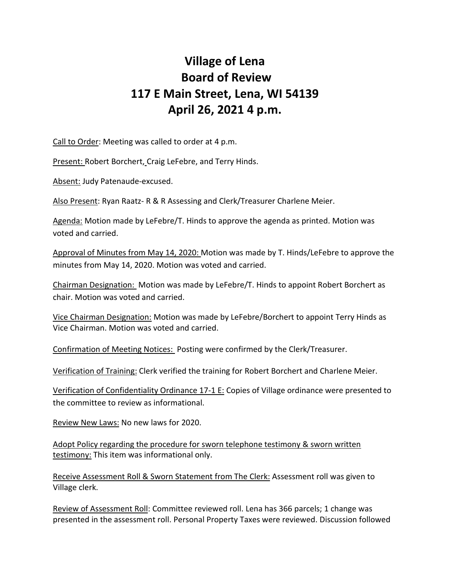## **Village of Lena Board of Review 117 E Main Street, Lena, WI 54139 April 26, 2021 4 p.m.**

Call to Order: Meeting was called to order at 4 p.m.

Present: Robert Borchert, Craig LeFebre, and Terry Hinds.

Absent: Judy Patenaude-excused.

Also Present: Ryan Raatz- R & R Assessing and Clerk/Treasurer Charlene Meier.

Agenda: Motion made by LeFebre/T. Hinds to approve the agenda as printed. Motion was voted and carried.

Approval of Minutes from May 14, 2020: Motion was made by T. Hinds/LeFebre to approve the minutes from May 14, 2020. Motion was voted and carried.

Chairman Designation: Motion was made by LeFebre/T. Hinds to appoint Robert Borchert as chair. Motion was voted and carried.

Vice Chairman Designation: Motion was made by LeFebre/Borchert to appoint Terry Hinds as Vice Chairman. Motion was voted and carried.

Confirmation of Meeting Notices: Posting were confirmed by the Clerk/Treasurer.

Verification of Training: Clerk verified the training for Robert Borchert and Charlene Meier.

Verification of Confidentiality Ordinance 17-1 E: Copies of Village ordinance were presented to the committee to review as informational.

Review New Laws: No new laws for 2020.

Adopt Policy regarding the procedure for sworn telephone testimony & sworn written testimony: This item was informational only.

Receive Assessment Roll & Sworn Statement from The Clerk: Assessment roll was given to Village clerk.

Review of Assessment Roll: Committee reviewed roll. Lena has 366 parcels; 1 change was presented in the assessment roll. Personal Property Taxes were reviewed. Discussion followed